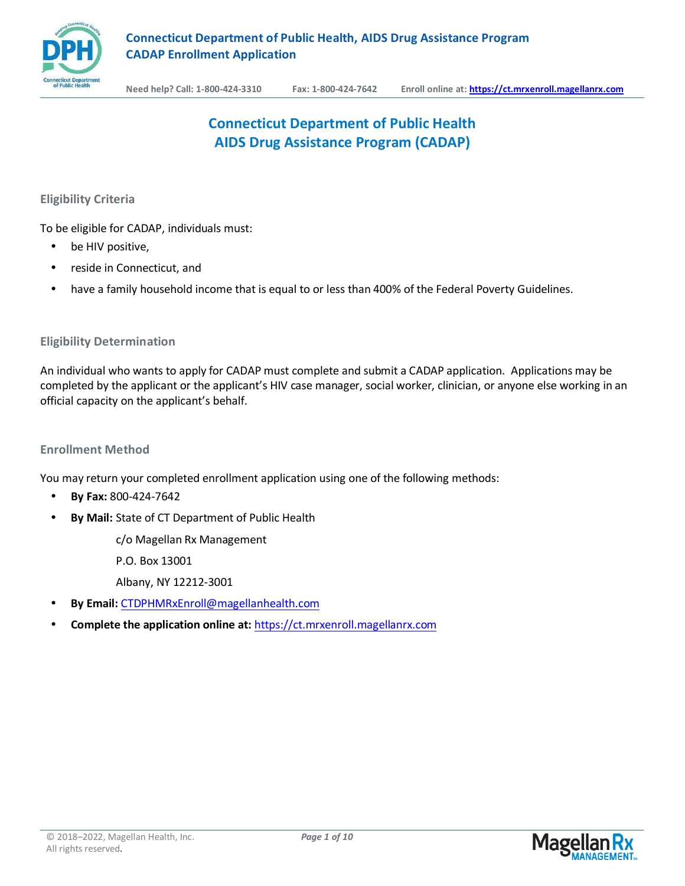

# **Connecticut Department of Public Health AIDS Drug Assistance Program (CADAP)**

**Eligibility Criteria** 

To be eligible for CADAP, individuals must:

- be HIV positive,
- reside in Connecticut, and
- have a family household income that is equal to or less than 400% of the Federal Poverty Guidelines.

### **Eligibility Determination**

An individual who wants to apply for CADAP must complete and submit a CADAP application. Applications may be completed by the applicant or the applicant's HIV case manager, social worker, clinician, or anyone else working in an official capacity on the applicant's behalf.

### **Enrollment Method**

You may return your completed enrollment application using one of the following methods:

- **By Fax:** 800-424-7642
- **By Mail:** State of CT Department of Public Health

c/o Magellan Rx Management

P.O. Box 13001

Albany, NY 12212-3001

- **By Email:** [CTDPHMRxEnroll@magellanhealth.com](mailto:CTDPHMRXENROLL@MAGELLANHEALTH.COM)
- **Complete the application online at:** [https://ct.mrxenroll.magellanrx.com](https://ct.mrxenroll.magellanrx.com/)

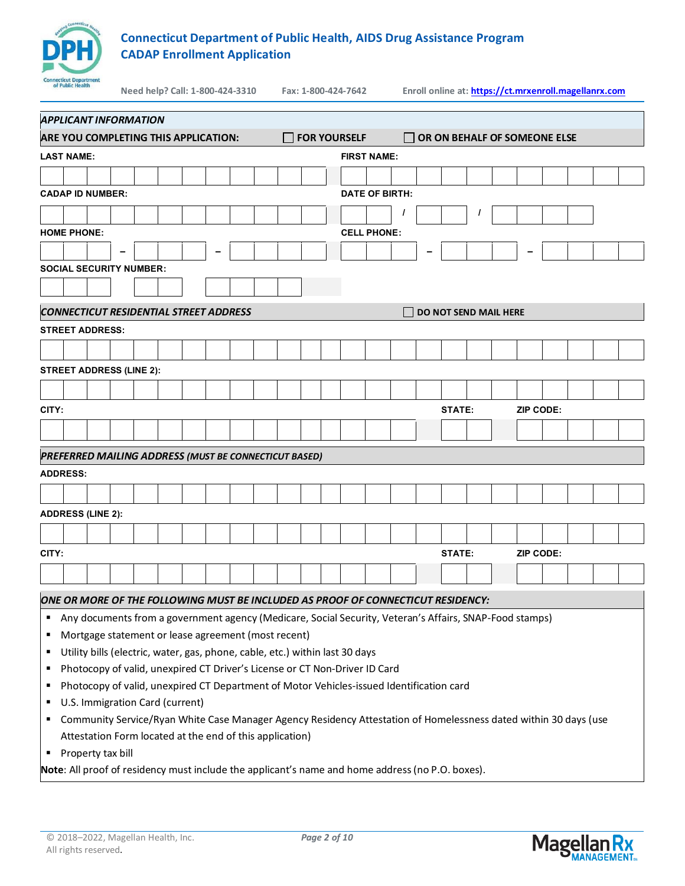

**Need help? Call: 1-800-424-3310 Fax: 1-800-424-7642 Enroll online at: https://ct.mrxenroll.magellanrx.com**

| APPLICANT INFORMATION                                                                                                 |                     |                       |                              |           |  |  |  |  |  |  |  |  |
|-----------------------------------------------------------------------------------------------------------------------|---------------------|-----------------------|------------------------------|-----------|--|--|--|--|--|--|--|--|
| ARE YOU COMPLETING THIS APPLICATION:                                                                                  | <b>FOR YOURSELF</b> |                       | OR ON BEHALF OF SOMEONE ELSE |           |  |  |  |  |  |  |  |  |
| LAST NAME:                                                                                                            |                     | <b>FIRST NAME:</b>    |                              |           |  |  |  |  |  |  |  |  |
|                                                                                                                       |                     |                       |                              |           |  |  |  |  |  |  |  |  |
| <b>CADAP ID NUMBER:</b>                                                                                               |                     | <b>DATE OF BIRTH:</b> |                              |           |  |  |  |  |  |  |  |  |
|                                                                                                                       |                     |                       |                              |           |  |  |  |  |  |  |  |  |
| <b>HOME PHONE:</b>                                                                                                    |                     | <b>CELL PHONE:</b>    |                              |           |  |  |  |  |  |  |  |  |
|                                                                                                                       |                     |                       |                              |           |  |  |  |  |  |  |  |  |
| <b>SOCIAL SECURITY NUMBER:</b>                                                                                        |                     |                       |                              |           |  |  |  |  |  |  |  |  |
|                                                                                                                       |                     |                       |                              |           |  |  |  |  |  |  |  |  |
| <b>CONNECTICUT RESIDENTIAL STREET ADDRESS</b>                                                                         |                     |                       | <b>DO NOT SEND MAIL HERE</b> |           |  |  |  |  |  |  |  |  |
| <b>STREET ADDRESS:</b>                                                                                                |                     |                       |                              |           |  |  |  |  |  |  |  |  |
|                                                                                                                       |                     |                       |                              |           |  |  |  |  |  |  |  |  |
| <b>STREET ADDRESS (LINE 2):</b>                                                                                       |                     |                       |                              |           |  |  |  |  |  |  |  |  |
|                                                                                                                       |                     |                       |                              |           |  |  |  |  |  |  |  |  |
|                                                                                                                       |                     |                       |                              |           |  |  |  |  |  |  |  |  |
| CITY:                                                                                                                 |                     |                       | STATE:                       | ZIP CODE: |  |  |  |  |  |  |  |  |
|                                                                                                                       |                     |                       |                              |           |  |  |  |  |  |  |  |  |
| PREFERRED MAILING ADDRESS (MUST BE CONNECTICUT BASED)                                                                 |                     |                       |                              |           |  |  |  |  |  |  |  |  |
| <b>ADDRESS:</b>                                                                                                       |                     |                       |                              |           |  |  |  |  |  |  |  |  |
|                                                                                                                       |                     |                       |                              |           |  |  |  |  |  |  |  |  |
| <b>ADDRESS (LINE 2):</b>                                                                                              |                     |                       |                              |           |  |  |  |  |  |  |  |  |
|                                                                                                                       |                     |                       |                              |           |  |  |  |  |  |  |  |  |
| CITY:                                                                                                                 |                     |                       | STATE:                       | ZIP CODE: |  |  |  |  |  |  |  |  |
|                                                                                                                       |                     |                       |                              |           |  |  |  |  |  |  |  |  |
|                                                                                                                       |                     |                       |                              |           |  |  |  |  |  |  |  |  |
| ONE OR MORE OF THE FOLLOWING MUST BE INCLUDED AS PROOF OF CONNECTICUT RESIDENCY:                                      |                     |                       |                              |           |  |  |  |  |  |  |  |  |
| Any documents from a government agency (Medicare, Social Security, Veteran's Affairs, SNAP-Food stamps)<br>п          |                     |                       |                              |           |  |  |  |  |  |  |  |  |
| Mortgage statement or lease agreement (most recent)<br>п                                                              |                     |                       |                              |           |  |  |  |  |  |  |  |  |
| Utility bills (electric, water, gas, phone, cable, etc.) within last 30 days<br>п                                     |                     |                       |                              |           |  |  |  |  |  |  |  |  |
| Photocopy of valid, unexpired CT Driver's License or CT Non-Driver ID Card<br>п                                       |                     |                       |                              |           |  |  |  |  |  |  |  |  |
| Photocopy of valid, unexpired CT Department of Motor Vehicles-issued Identification card<br>п                         |                     |                       |                              |           |  |  |  |  |  |  |  |  |
| U.S. Immigration Card (current)<br>٠                                                                                  |                     |                       |                              |           |  |  |  |  |  |  |  |  |
| Community Service/Ryan White Case Manager Agency Residency Attestation of Homelessness dated within 30 days (use<br>п |                     |                       |                              |           |  |  |  |  |  |  |  |  |
| Attestation Form located at the end of this application)                                                              |                     |                       |                              |           |  |  |  |  |  |  |  |  |
| Property tax bill<br>п                                                                                                |                     |                       |                              |           |  |  |  |  |  |  |  |  |

**Note**: All proof of residency must include the applicant's name and home address (no P.O. boxes).

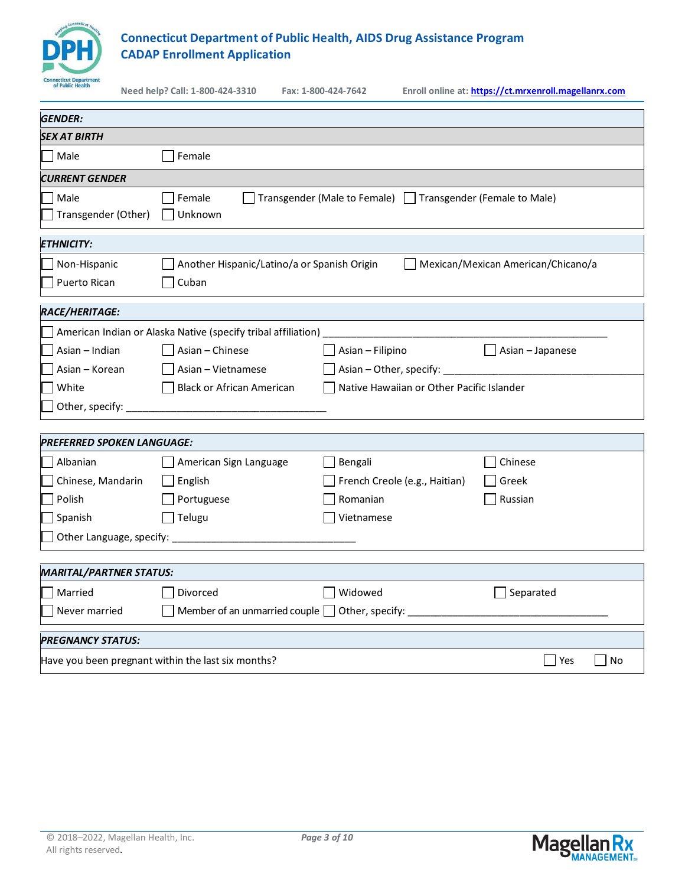

| of Public Health                     | Need help? Call: 1-800-424-3310                               | Fax: 1-800-424-7642                                                                                       | Enroll online at: https://ct.mrxenroll.magellanrx.com |  |  |  |  |  |  |
|--------------------------------------|---------------------------------------------------------------|-----------------------------------------------------------------------------------------------------------|-------------------------------------------------------|--|--|--|--|--|--|
| <b>GENDER:</b>                       |                                                               |                                                                                                           |                                                       |  |  |  |  |  |  |
| <i><b>SEX AT BIRTH</b></i>           |                                                               |                                                                                                           |                                                       |  |  |  |  |  |  |
| Male                                 | Female                                                        |                                                                                                           |                                                       |  |  |  |  |  |  |
| <i><b>CURRENT GENDER</b></i>         |                                                               |                                                                                                           |                                                       |  |  |  |  |  |  |
| Male<br>Transgender (Other)          | Female<br>Unknown                                             | Transgender (Male to Female)   Transgender (Female to Male)                                               |                                                       |  |  |  |  |  |  |
| <i><b>ETHNICITY:</b></i>             |                                                               |                                                                                                           |                                                       |  |  |  |  |  |  |
| Non-Hispanic                         | Another Hispanic/Latino/a or Spanish Origin                   |                                                                                                           | Mexican/Mexican American/Chicano/a                    |  |  |  |  |  |  |
| Puerto Rican                         | Cuban                                                         |                                                                                                           |                                                       |  |  |  |  |  |  |
| RACE/HERITAGE:                       |                                                               |                                                                                                           |                                                       |  |  |  |  |  |  |
|                                      | American Indian or Alaska Native (specify tribal affiliation) |                                                                                                           |                                                       |  |  |  |  |  |  |
| Asian - Indian                       | Asian – Chinese                                               | Asian - Filipino                                                                                          | $\Box$ Asian – Japanese                               |  |  |  |  |  |  |
| Asian - Korean<br>Asian - Vietnamese |                                                               |                                                                                                           |                                                       |  |  |  |  |  |  |
| White                                | <b>Black or African American</b>                              |                                                                                                           | Native Hawaiian or Other Pacific Islander             |  |  |  |  |  |  |
| Other, specify: _____________        |                                                               |                                                                                                           |                                                       |  |  |  |  |  |  |
| PREFERRED SPOKEN LANGUAGE:           |                                                               |                                                                                                           |                                                       |  |  |  |  |  |  |
| Albanian                             | American Sign Language                                        | Bengali                                                                                                   | Chinese                                               |  |  |  |  |  |  |
| Chinese, Mandarin                    | English                                                       | French Creole (e.g., Haitian)                                                                             | Greek                                                 |  |  |  |  |  |  |
| Polish                               | Portuguese                                                    | Romanian                                                                                                  | Russian                                               |  |  |  |  |  |  |
| Spanish                              | $\Box$ Telugu                                                 | Vietnamese                                                                                                |                                                       |  |  |  |  |  |  |
| Other Language, specify:             |                                                               |                                                                                                           |                                                       |  |  |  |  |  |  |
| <b>MARITAL/PARTNER STATUS:</b>       |                                                               |                                                                                                           |                                                       |  |  |  |  |  |  |
| Married                              | Divorced                                                      | Widowed                                                                                                   | $\Box$ Separated                                      |  |  |  |  |  |  |
| Never married                        |                                                               | Member of an unmarried couple 1 Other, specify: 11 Communication of an unmarried couple 1 Other, specify: |                                                       |  |  |  |  |  |  |
| <b>PREGNANCY STATUS:</b>             |                                                               |                                                                                                           |                                                       |  |  |  |  |  |  |
|                                      | Have you been pregnant within the last six months?            |                                                                                                           | Yes<br>  No                                           |  |  |  |  |  |  |

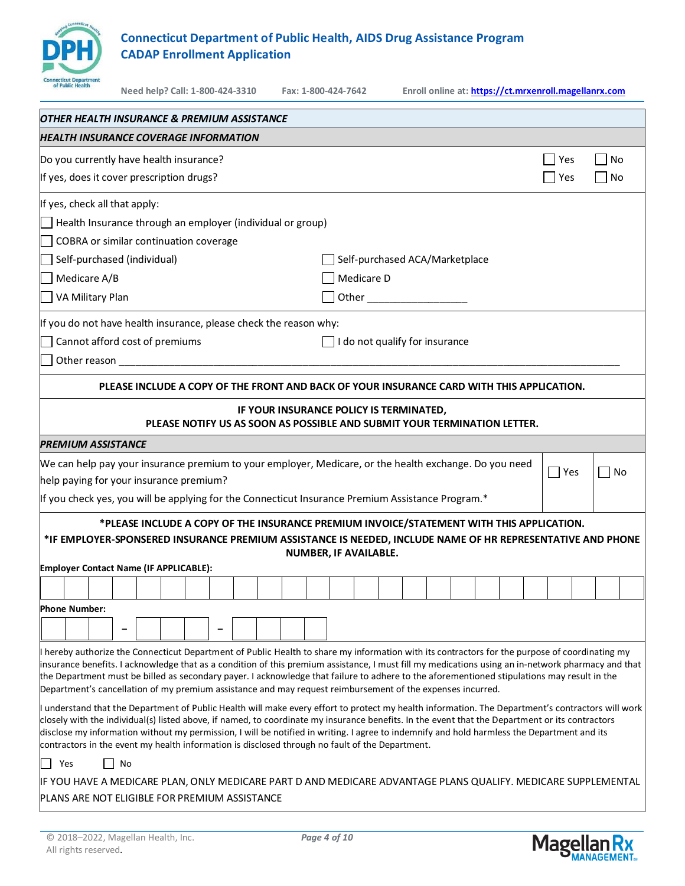

**Need help? Call: 1-800-424-3310 Fax: 1-800-424-7642 Enroll online at: https://ct.mrxenroll.magellanrx.com**

| OTHER HEALTH INSURANCE & PREMIUM ASSISTANCE                                                                                                                                                                                                                                                          |                                                                                                                     |            |                      |
|------------------------------------------------------------------------------------------------------------------------------------------------------------------------------------------------------------------------------------------------------------------------------------------------------|---------------------------------------------------------------------------------------------------------------------|------------|----------------------|
| <b>HEALTH INSURANCE COVERAGE INFORMATION</b>                                                                                                                                                                                                                                                         |                                                                                                                     |            |                      |
| Do you currently have health insurance?                                                                                                                                                                                                                                                              |                                                                                                                     | Yes        | No<br>$\Box$         |
| If yes, does it cover prescription drugs?                                                                                                                                                                                                                                                            |                                                                                                                     | Yes        | No<br>$\blacksquare$ |
| If yes, check all that apply:                                                                                                                                                                                                                                                                        |                                                                                                                     |            |                      |
| Health Insurance through an employer (individual or group)                                                                                                                                                                                                                                           |                                                                                                                     |            |                      |
| COBRA or similar continuation coverage                                                                                                                                                                                                                                                               |                                                                                                                     |            |                      |
| Self-purchased (individual)                                                                                                                                                                                                                                                                          | Self-purchased ACA/Marketplace                                                                                      |            |                      |
| Medicare A/B                                                                                                                                                                                                                                                                                         | Medicare D                                                                                                          |            |                      |
| VA Military Plan                                                                                                                                                                                                                                                                                     |                                                                                                                     |            |                      |
| If you do not have health insurance, please check the reason why:                                                                                                                                                                                                                                    |                                                                                                                     |            |                      |
| Cannot afford cost of premiums                                                                                                                                                                                                                                                                       | I do not qualify for insurance                                                                                      |            |                      |
|                                                                                                                                                                                                                                                                                                      |                                                                                                                     |            |                      |
|                                                                                                                                                                                                                                                                                                      | PLEASE INCLUDE A COPY OF THE FRONT AND BACK OF YOUR INSURANCE CARD WITH THIS APPLICATION.                           |            |                      |
|                                                                                                                                                                                                                                                                                                      |                                                                                                                     |            |                      |
|                                                                                                                                                                                                                                                                                                      | IF YOUR INSURANCE POLICY IS TERMINATED,<br>PLEASE NOTIFY US AS SOON AS POSSIBLE AND SUBMIT YOUR TERMINATION LETTER. |            |                      |
| <b>PREMIUM ASSISTANCE</b>                                                                                                                                                                                                                                                                            |                                                                                                                     |            |                      |
| We can help pay your insurance premium to your employer, Medicare, or the health exchange. Do you need                                                                                                                                                                                               |                                                                                                                     | $\Box$ Yes |                      |
| help paying for your insurance premium?                                                                                                                                                                                                                                                              |                                                                                                                     |            | No                   |
| If you check yes, you will be applying for the Connecticut Insurance Premium Assistance Program.*                                                                                                                                                                                                    |                                                                                                                     |            |                      |
|                                                                                                                                                                                                                                                                                                      | *PLEASE INCLUDE A COPY OF THE INSURANCE PREMIUM INVOICE/STATEMENT WITH THIS APPLICATION.                            |            |                      |
| *IF EMPLOYER-SPONSERED INSURANCE PREMIUM ASSISTANCE IS NEEDED, INCLUDE NAME OF HR REPRESENTATIVE AND PHONE                                                                                                                                                                                           |                                                                                                                     |            |                      |
| <b>Employer Contact Name (IF APPLICABLE):</b>                                                                                                                                                                                                                                                        | <b>NUMBER, IF AVAILABLE.</b>                                                                                        |            |                      |
|                                                                                                                                                                                                                                                                                                      |                                                                                                                     |            |                      |
| <b>Phone Number:</b>                                                                                                                                                                                                                                                                                 |                                                                                                                     |            |                      |
|                                                                                                                                                                                                                                                                                                      |                                                                                                                     |            |                      |
|                                                                                                                                                                                                                                                                                                      |                                                                                                                     |            |                      |
| I hereby authorize the Connecticut Department of Public Health to share my information with its contractors for the purpose of coordinating my<br>insurance benefits. I acknowledge that as a condition of this premium assistance, I must fill my medications using an in-network pharmacy and that |                                                                                                                     |            |                      |
| the Department must be billed as secondary payer. I acknowledge that failure to adhere to the aforementioned stipulations may result in the                                                                                                                                                          |                                                                                                                     |            |                      |
| Department's cancellation of my premium assistance and may request reimbursement of the expenses incurred.                                                                                                                                                                                           |                                                                                                                     |            |                      |
| I understand that the Department of Public Health will make every effort to protect my health information. The Department's contractors will work<br>closely with the individual(s) listed above, if named, to coordinate my insurance benefits. In the event that the Department or its contractors |                                                                                                                     |            |                      |
| disclose my information without my permission, I will be notified in writing. I agree to indemnify and hold harmless the Department and its                                                                                                                                                          |                                                                                                                     |            |                      |
| contractors in the event my health information is disclosed through no fault of the Department.                                                                                                                                                                                                      |                                                                                                                     |            |                      |
| No<br>Yes                                                                                                                                                                                                                                                                                            |                                                                                                                     |            |                      |
| IF YOU HAVE A MEDICARE PLAN, ONLY MEDICARE PART D AND MEDICARE ADVANTAGE PLANS QUALIFY. MEDICARE SUPPLEMENTAL                                                                                                                                                                                        |                                                                                                                     |            |                      |
| PLANS ARE NOT ELIGIBLE FOR PREMIUM ASSISTANCE                                                                                                                                                                                                                                                        |                                                                                                                     |            |                      |

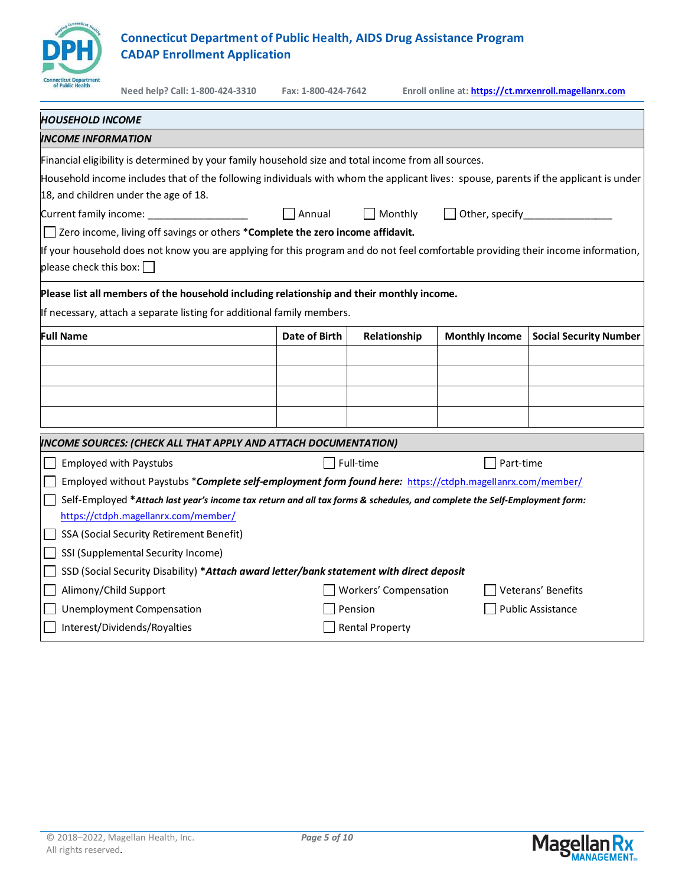

| of Public Health                                                                                                          | Need help? Call: 1-800-424-3310                                                                                                                                               | Fax: 1-800-424-7642 |                        |                       | Enroll online at: https://ct.mrxenroll.magellanrx.com |  |  |  |  |  |
|---------------------------------------------------------------------------------------------------------------------------|-------------------------------------------------------------------------------------------------------------------------------------------------------------------------------|---------------------|------------------------|-----------------------|-------------------------------------------------------|--|--|--|--|--|
| <b>HOUSEHOLD INCOME</b>                                                                                                   |                                                                                                                                                                               |                     |                        |                       |                                                       |  |  |  |  |  |
| <b>INCOME INFORMATION</b>                                                                                                 |                                                                                                                                                                               |                     |                        |                       |                                                       |  |  |  |  |  |
|                                                                                                                           | Financial eligibility is determined by your family household size and total income from all sources.                                                                          |                     |                        |                       |                                                       |  |  |  |  |  |
|                                                                                                                           | Household income includes that of the following individuals with whom the applicant lives: spouse, parents if the applicant is under<br>18, and children under the age of 18. |                     |                        |                       |                                                       |  |  |  |  |  |
| $\Box$ Annual<br>$\Box$ Monthly<br>Other, specify <b>Contains Container</b><br>Current family income: ___________________ |                                                                                                                                                                               |                     |                        |                       |                                                       |  |  |  |  |  |
|                                                                                                                           | Zero income, living off savings or others *Complete the zero income affidavit.                                                                                                |                     |                        |                       |                                                       |  |  |  |  |  |
| please check this box: $\square$                                                                                          | If your household does not know you are applying for this program and do not feel comfortable providing their income information,                                             |                     |                        |                       |                                                       |  |  |  |  |  |
|                                                                                                                           | Please list all members of the household including relationship and their monthly income.                                                                                     |                     |                        |                       |                                                       |  |  |  |  |  |
|                                                                                                                           | If necessary, attach a separate listing for additional family members.                                                                                                        |                     |                        |                       |                                                       |  |  |  |  |  |
| <b>Full Name</b>                                                                                                          |                                                                                                                                                                               | Date of Birth       | Relationship           | <b>Monthly Income</b> | <b>Social Security Number</b>                         |  |  |  |  |  |
|                                                                                                                           |                                                                                                                                                                               |                     |                        |                       |                                                       |  |  |  |  |  |
|                                                                                                                           |                                                                                                                                                                               |                     |                        |                       |                                                       |  |  |  |  |  |
|                                                                                                                           |                                                                                                                                                                               |                     |                        |                       |                                                       |  |  |  |  |  |
|                                                                                                                           |                                                                                                                                                                               |                     |                        |                       |                                                       |  |  |  |  |  |
|                                                                                                                           | INCOME SOURCES: (CHECK ALL THAT APPLY AND ATTACH DOCUMENTATION)                                                                                                               |                     |                        |                       |                                                       |  |  |  |  |  |
|                                                                                                                           | <b>Employed with Paystubs</b>                                                                                                                                                 |                     | Full-time              | Part-time             |                                                       |  |  |  |  |  |
|                                                                                                                           | Employed without Paystubs *Complete self-employment form found here: https://ctdph.magellanrx.com/member/                                                                     |                     |                        |                       |                                                       |  |  |  |  |  |
|                                                                                                                           | Self-Employed *Attach last year's income tax return and all tax forms & schedules, and complete the Self-Employment form:                                                     |                     |                        |                       |                                                       |  |  |  |  |  |
|                                                                                                                           | https://ctdph.magellanrx.com/member/                                                                                                                                          |                     |                        |                       |                                                       |  |  |  |  |  |
|                                                                                                                           | SSA (Social Security Retirement Benefit)                                                                                                                                      |                     |                        |                       |                                                       |  |  |  |  |  |
|                                                                                                                           | SSI (Supplemental Security Income)                                                                                                                                            |                     |                        |                       |                                                       |  |  |  |  |  |
|                                                                                                                           | SSD (Social Security Disability) *Attach award letter/bank statement with direct deposit                                                                                      |                     |                        |                       |                                                       |  |  |  |  |  |
|                                                                                                                           | Alimony/Child Support                                                                                                                                                         |                     | Workers' Compensation  |                       | Veterans' Benefits                                    |  |  |  |  |  |
| <b>Unemployment Compensation</b><br>Pension<br><b>Public Assistance</b>                                                   |                                                                                                                                                                               |                     |                        |                       |                                                       |  |  |  |  |  |
|                                                                                                                           | Interest/Dividends/Royalties                                                                                                                                                  |                     | <b>Rental Property</b> |                       |                                                       |  |  |  |  |  |

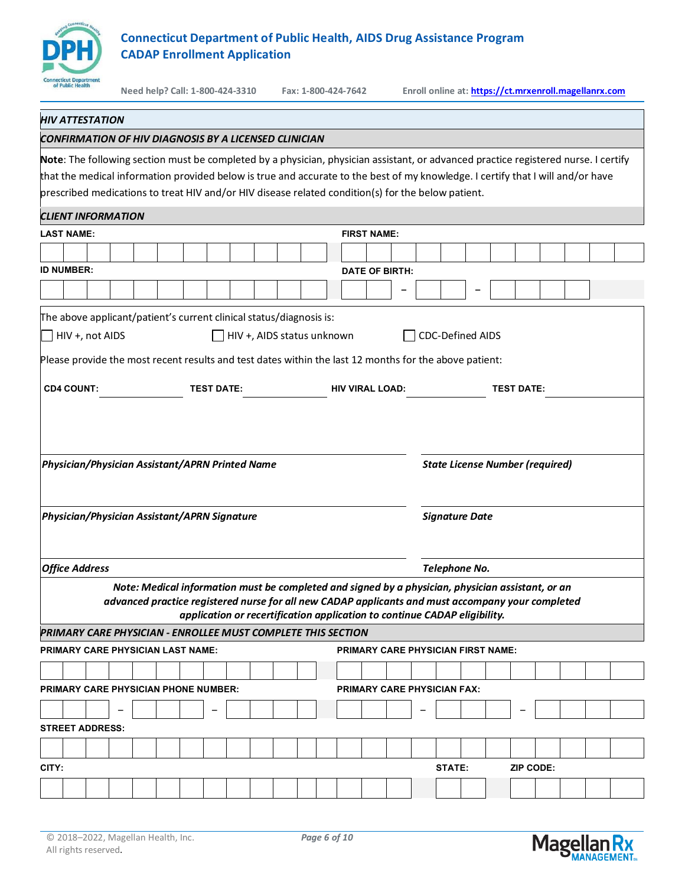

#### *HIV ATTESTATION*

#### *CONFIRMATION OF HIV DIAGNOSIS BY A LICENSED CLINICIAN*

**Note**: The following section must be completed by a physician, physician assistant, or advanced practice registered nurse. I certify that the medical information provided below is true and accurate to the best of my knowledge. I certify that I will and/or have prescribed medications to treat HIV and/or HIV disease related condition(s) for the below patient.

### *CLIENT INFORMATION*

|                   | <u>CLIENT INFORMATION</u>                                                                                |                       |  |  |                                              |  |  |  |  |  |                                                                                                                                                                                                                                                                                     |  |                                    |  |  |        |                                    |           |  |  |  |
|-------------------|----------------------------------------------------------------------------------------------------------|-----------------------|--|--|----------------------------------------------|--|--|--|--|--|-------------------------------------------------------------------------------------------------------------------------------------------------------------------------------------------------------------------------------------------------------------------------------------|--|------------------------------------|--|--|--------|------------------------------------|-----------|--|--|--|
|                   | <b>LAST NAME:</b><br><b>FIRST NAME:</b>                                                                  |                       |  |  |                                              |  |  |  |  |  |                                                                                                                                                                                                                                                                                     |  |                                    |  |  |        |                                    |           |  |  |  |
|                   |                                                                                                          |                       |  |  |                                              |  |  |  |  |  |                                                                                                                                                                                                                                                                                     |  |                                    |  |  |        |                                    |           |  |  |  |
| <b>ID NUMBER:</b> |                                                                                                          |                       |  |  |                                              |  |  |  |  |  |                                                                                                                                                                                                                                                                                     |  | <b>DATE OF BIRTH:</b>              |  |  |        |                                    |           |  |  |  |
|                   |                                                                                                          |                       |  |  |                                              |  |  |  |  |  |                                                                                                                                                                                                                                                                                     |  |                                    |  |  |        |                                    |           |  |  |  |
|                   |                                                                                                          |                       |  |  |                                              |  |  |  |  |  |                                                                                                                                                                                                                                                                                     |  |                                    |  |  |        |                                    |           |  |  |  |
|                   | The above applicant/patient's current clinical status/diagnosis is:                                      |                       |  |  |                                              |  |  |  |  |  |                                                                                                                                                                                                                                                                                     |  |                                    |  |  |        |                                    |           |  |  |  |
|                   | $\overline{\phantom{a}}$ HIV +, not AIDS<br>$\Box$ HIV +, AIDS status unknown<br><b>CDC-Defined AIDS</b> |                       |  |  |                                              |  |  |  |  |  |                                                                                                                                                                                                                                                                                     |  |                                    |  |  |        |                                    |           |  |  |  |
|                   | Please provide the most recent results and test dates within the last 12 months for the above patient:   |                       |  |  |                                              |  |  |  |  |  |                                                                                                                                                                                                                                                                                     |  |                                    |  |  |        |                                    |           |  |  |  |
|                   | <b>CD4 COUNT:</b><br><b>TEST DATE:</b><br><b>TEST DATE:</b><br><b>HIV VIRAL LOAD:</b>                    |                       |  |  |                                              |  |  |  |  |  |                                                                                                                                                                                                                                                                                     |  |                                    |  |  |        |                                    |           |  |  |  |
|                   |                                                                                                          |                       |  |  |                                              |  |  |  |  |  |                                                                                                                                                                                                                                                                                     |  |                                    |  |  |        |                                    |           |  |  |  |
|                   | Physician/Physician Assistant/APRN Printed Name<br><b>State License Number (required)</b>                |                       |  |  |                                              |  |  |  |  |  |                                                                                                                                                                                                                                                                                     |  |                                    |  |  |        |                                    |           |  |  |  |
|                   |                                                                                                          |                       |  |  | Physician/Physician Assistant/APRN Signature |  |  |  |  |  |                                                                                                                                                                                                                                                                                     |  |                                    |  |  |        | <b>Signature Date</b>              |           |  |  |  |
|                   |                                                                                                          | <b>Office Address</b> |  |  |                                              |  |  |  |  |  |                                                                                                                                                                                                                                                                                     |  |                                    |  |  |        | Telephone No.                      |           |  |  |  |
|                   |                                                                                                          |                       |  |  |                                              |  |  |  |  |  | Note: Medical information must be completed and signed by a physician, physician assistant, or an<br>advanced practice registered nurse for all new CADAP applicants and must accompany your completed<br>application or recertification application to continue CADAP eligibility. |  |                                    |  |  |        |                                    |           |  |  |  |
|                   |                                                                                                          |                       |  |  |                                              |  |  |  |  |  | PRIMARY CARE PHYSICIAN - ENROLLEE MUST COMPLETE THIS SECTION                                                                                                                                                                                                                        |  |                                    |  |  |        |                                    |           |  |  |  |
|                   |                                                                                                          |                       |  |  | PRIMARY CARE PHYSICIAN LAST NAME:            |  |  |  |  |  |                                                                                                                                                                                                                                                                                     |  |                                    |  |  |        | PRIMARY CARE PHYSICIAN FIRST NAME: |           |  |  |  |
|                   |                                                                                                          |                       |  |  |                                              |  |  |  |  |  |                                                                                                                                                                                                                                                                                     |  |                                    |  |  |        |                                    |           |  |  |  |
|                   |                                                                                                          |                       |  |  | PRIMARY CARE PHYSICIAN PHONE NUMBER:         |  |  |  |  |  |                                                                                                                                                                                                                                                                                     |  | <b>PRIMARY CARE PHYSICIAN FAX:</b> |  |  |        |                                    |           |  |  |  |
|                   |                                                                                                          |                       |  |  |                                              |  |  |  |  |  |                                                                                                                                                                                                                                                                                     |  |                                    |  |  |        |                                    |           |  |  |  |
|                   | <b>STREET ADDRESS:</b>                                                                                   |                       |  |  |                                              |  |  |  |  |  |                                                                                                                                                                                                                                                                                     |  |                                    |  |  |        |                                    |           |  |  |  |
|                   |                                                                                                          |                       |  |  |                                              |  |  |  |  |  |                                                                                                                                                                                                                                                                                     |  |                                    |  |  |        |                                    |           |  |  |  |
| CITY:             |                                                                                                          |                       |  |  |                                              |  |  |  |  |  |                                                                                                                                                                                                                                                                                     |  |                                    |  |  | STATE: |                                    | ZIP CODE: |  |  |  |
|                   |                                                                                                          |                       |  |  |                                              |  |  |  |  |  |                                                                                                                                                                                                                                                                                     |  |                                    |  |  |        |                                    |           |  |  |  |
|                   |                                                                                                          |                       |  |  |                                              |  |  |  |  |  |                                                                                                                                                                                                                                                                                     |  |                                    |  |  |        |                                    |           |  |  |  |



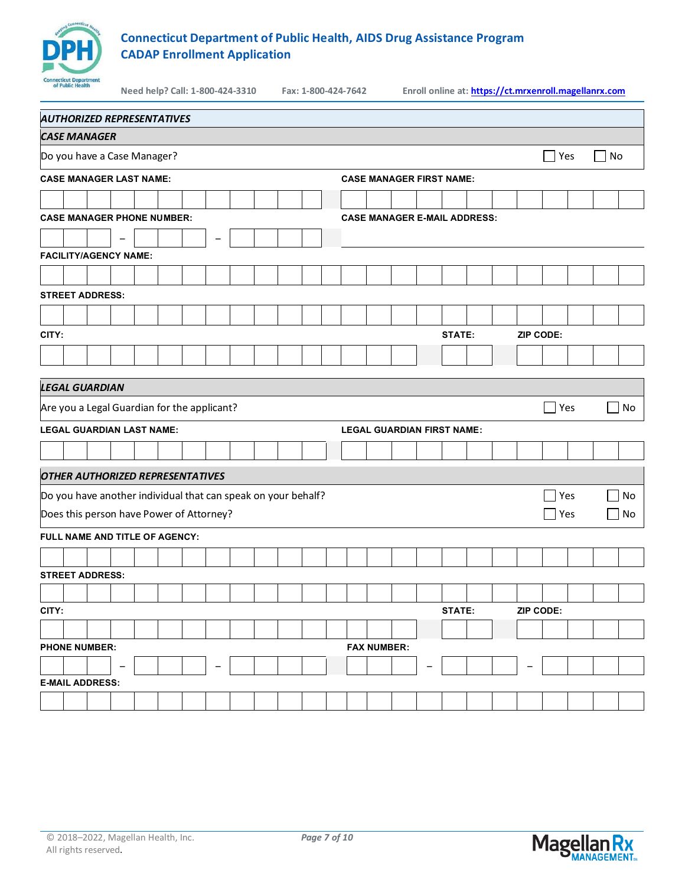

| of Public Health                                              |                   | Need help? Call: 1-800-424-3310 |   |  | Fax: 1-800-424-7642 |  | Enroll online at: https://ct.mrxenroll.magellanrx.com |                                     |  |               |  |  |           |            |     |                      |    |
|---------------------------------------------------------------|-------------------|---------------------------------|---|--|---------------------|--|-------------------------------------------------------|-------------------------------------|--|---------------|--|--|-----------|------------|-----|----------------------|----|
| <b>AUTHORIZED REPRESENTATIVES</b>                             |                   |                                 |   |  |                     |  |                                                       |                                     |  |               |  |  |           |            |     |                      |    |
| <b>CASE MANAGER</b>                                           |                   |                                 |   |  |                     |  |                                                       |                                     |  |               |  |  |           |            |     |                      |    |
| Do you have a Case Manager?                                   |                   |                                 |   |  |                     |  |                                                       |                                     |  |               |  |  |           |            | Yes | No<br>$\blacksquare$ |    |
| <b>CASE MANAGER LAST NAME:</b>                                |                   |                                 |   |  |                     |  |                                                       | <b>CASE MANAGER FIRST NAME:</b>     |  |               |  |  |           |            |     |                      |    |
|                                                               |                   |                                 |   |  |                     |  |                                                       |                                     |  |               |  |  |           |            |     |                      |    |
| <b>CASE MANAGER PHONE NUMBER:</b>                             |                   |                                 |   |  |                     |  |                                                       | <b>CASE MANAGER E-MAIL ADDRESS:</b> |  |               |  |  |           |            |     |                      |    |
|                                                               | $\qquad \qquad -$ |                                 | ۳ |  |                     |  |                                                       |                                     |  |               |  |  |           |            |     |                      |    |
| <b>FACILITY/AGENCY NAME:</b>                                  |                   |                                 |   |  |                     |  |                                                       |                                     |  |               |  |  |           |            |     |                      |    |
|                                                               |                   |                                 |   |  |                     |  |                                                       |                                     |  |               |  |  |           |            |     |                      |    |
| <b>STREET ADDRESS:</b>                                        |                   |                                 |   |  |                     |  |                                                       |                                     |  |               |  |  |           |            |     |                      |    |
|                                                               |                   |                                 |   |  |                     |  |                                                       |                                     |  |               |  |  |           |            |     |                      |    |
| CITY:                                                         |                   |                                 |   |  |                     |  |                                                       |                                     |  | <b>STATE:</b> |  |  | ZIP CODE: |            |     |                      |    |
|                                                               |                   |                                 |   |  |                     |  |                                                       |                                     |  |               |  |  |           |            |     |                      |    |
| <b>LEGAL GUARDIAN</b>                                         |                   |                                 |   |  |                     |  |                                                       |                                     |  |               |  |  |           |            |     |                      |    |
| Are you a Legal Guardian for the applicant?                   |                   |                                 |   |  |                     |  |                                                       |                                     |  |               |  |  |           | Yes        |     |                      | No |
|                                                               |                   |                                 |   |  |                     |  |                                                       |                                     |  |               |  |  |           |            |     |                      |    |
| <b>LEGAL GUARDIAN LAST NAME:</b>                              |                   |                                 |   |  |                     |  |                                                       | <b>LEGAL GUARDIAN FIRST NAME:</b>   |  |               |  |  |           |            |     |                      |    |
|                                                               |                   |                                 |   |  |                     |  |                                                       |                                     |  |               |  |  |           |            |     |                      |    |
| <b>OTHER AUTHORIZED REPRESENTATIVES</b>                       |                   |                                 |   |  |                     |  |                                                       |                                     |  |               |  |  |           |            |     |                      |    |
| Do you have another individual that can speak on your behalf? |                   |                                 |   |  |                     |  |                                                       |                                     |  |               |  |  |           |            | Yes |                      | No |
| Does this person have Power of Attorney?                      |                   |                                 |   |  |                     |  |                                                       |                                     |  |               |  |  |           | $\Box$ Yes |     |                      | No |
| FULL NAME AND TITLE OF AGENCY:                                |                   |                                 |   |  |                     |  |                                                       |                                     |  |               |  |  |           |            |     |                      |    |
|                                                               |                   |                                 |   |  |                     |  |                                                       |                                     |  |               |  |  |           |            |     |                      |    |
| <b>STREET ADDRESS:</b>                                        |                   |                                 |   |  |                     |  |                                                       |                                     |  |               |  |  |           |            |     |                      |    |
|                                                               |                   |                                 |   |  |                     |  |                                                       |                                     |  |               |  |  |           |            |     |                      |    |
| CITY:                                                         |                   |                                 |   |  |                     |  |                                                       |                                     |  | STATE:        |  |  | ZIP CODE: |            |     |                      |    |
|                                                               |                   |                                 |   |  |                     |  |                                                       |                                     |  |               |  |  |           |            |     |                      |    |
| <b>PHONE NUMBER:</b>                                          |                   |                                 |   |  |                     |  | <b>FAX NUMBER:</b>                                    |                                     |  |               |  |  |           |            |     |                      |    |
| <b>E-MAIL ADDRESS:</b>                                        |                   |                                 |   |  |                     |  |                                                       |                                     |  |               |  |  |           |            |     |                      |    |
|                                                               |                   |                                 |   |  |                     |  |                                                       |                                     |  |               |  |  |           |            |     |                      |    |

All rights reserved.

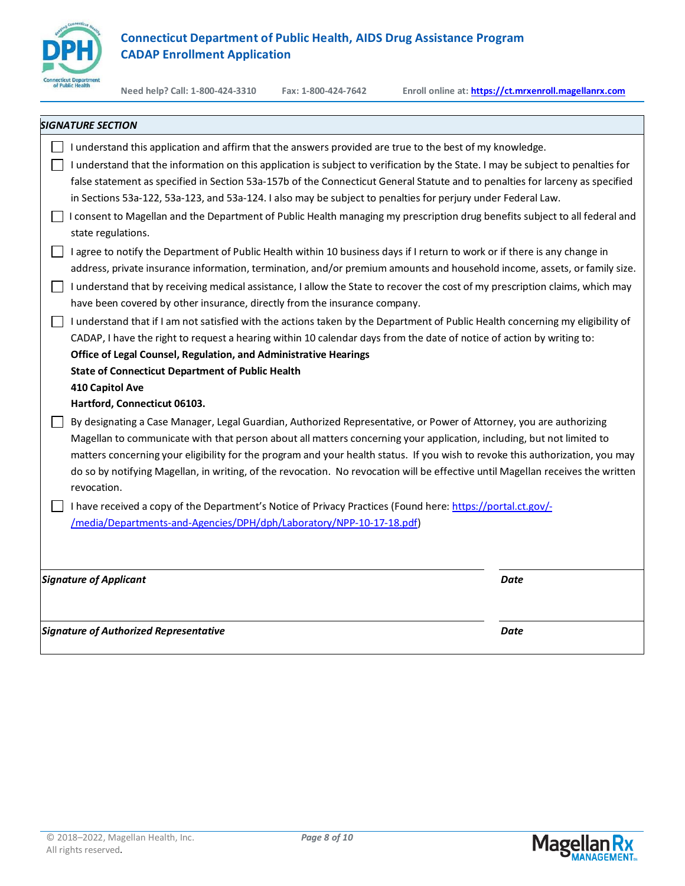

| <b>SIGNATURE SECTION</b>                                                                                                                                                                                                                                                                                                                                                                                                                                                                                                                                                                                                                           |             |
|----------------------------------------------------------------------------------------------------------------------------------------------------------------------------------------------------------------------------------------------------------------------------------------------------------------------------------------------------------------------------------------------------------------------------------------------------------------------------------------------------------------------------------------------------------------------------------------------------------------------------------------------------|-------------|
| I understand this application and affirm that the answers provided are true to the best of my knowledge.<br>I understand that the information on this application is subject to verification by the State. I may be subject to penalties for<br>false statement as specified in Section 53a-157b of the Connecticut General Statute and to penalties for larceny as specified<br>in Sections 53a-122, 53a-123, and 53a-124. I also may be subject to penalties for perjury under Federal Law.<br>I consent to Magellan and the Department of Public Health managing my prescription drug benefits subject to all federal and<br>state regulations. |             |
| I agree to notify the Department of Public Health within 10 business days if I return to work or if there is any change in<br>address, private insurance information, termination, and/or premium amounts and household income, assets, or family size.<br>I understand that by receiving medical assistance, I allow the State to recover the cost of my prescription claims, which may<br>have been covered by other insurance, directly from the insurance company.                                                                                                                                                                             |             |
| I understand that if I am not satisfied with the actions taken by the Department of Public Health concerning my eligibility of<br>CADAP, I have the right to request a hearing within 10 calendar days from the date of notice of action by writing to:<br>Office of Legal Counsel, Regulation, and Administrative Hearings<br><b>State of Connecticut Department of Public Health</b><br>410 Capitol Ave<br>Hartford, Connecticut 06103.                                                                                                                                                                                                          |             |
| By designating a Case Manager, Legal Guardian, Authorized Representative, or Power of Attorney, you are authorizing<br>Magellan to communicate with that person about all matters concerning your application, including, but not limited to<br>matters concerning your eligibility for the program and your health status. If you wish to revoke this authorization, you may<br>do so by notifying Magellan, in writing, of the revocation. No revocation will be effective until Magellan receives the written<br>revocation.                                                                                                                    |             |
| I have received a copy of the Department's Notice of Privacy Practices (Found here: https://portal.ct.gov/-<br>/media/Departments-and-Agencies/DPH/dph/Laboratory/NPP-10-17-18.pdf)                                                                                                                                                                                                                                                                                                                                                                                                                                                                |             |
| <b>Signature of Applicant</b>                                                                                                                                                                                                                                                                                                                                                                                                                                                                                                                                                                                                                      | Date        |
| <b>Signature of Authorized Representative</b>                                                                                                                                                                                                                                                                                                                                                                                                                                                                                                                                                                                                      | <b>Date</b> |

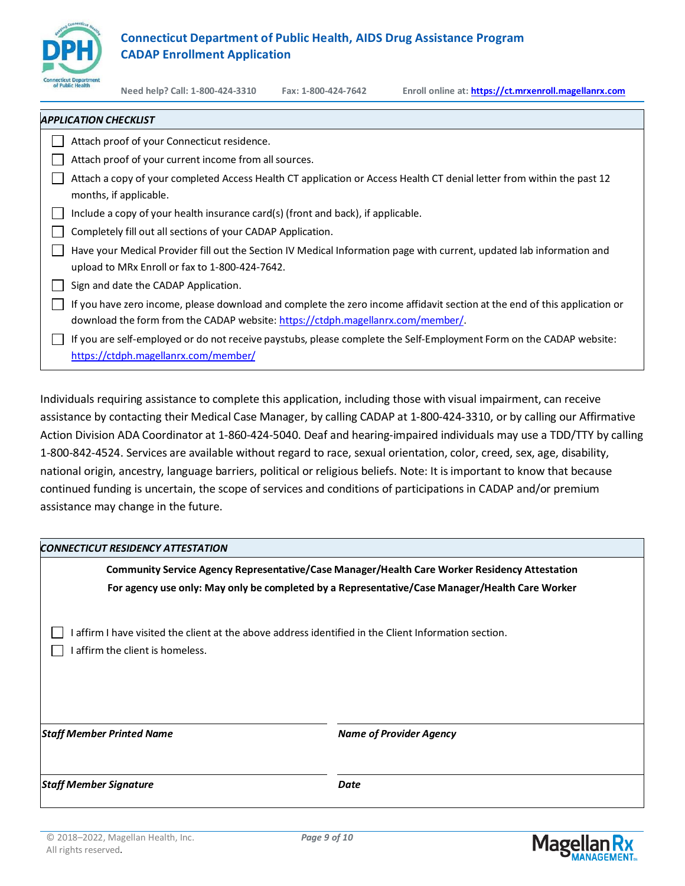

| Attach proof of your Connecticut residence.                                                                                                                                                                  |  |
|--------------------------------------------------------------------------------------------------------------------------------------------------------------------------------------------------------------|--|
| Attach proof of your current income from all sources.                                                                                                                                                        |  |
| Attach a copy of your completed Access Health CT application or Access Health CT denial letter from within the past 12<br>months, if applicable.                                                             |  |
| Include a copy of your health insurance card(s) (front and back), if applicable.                                                                                                                             |  |
| Completely fill out all sections of your CADAP Application.                                                                                                                                                  |  |
| Have your Medical Provider fill out the Section IV Medical Information page with current, updated lab information and<br>upload to MRx Enroll or fax to 1-800-424-7642.                                      |  |
| Sign and date the CADAP Application.                                                                                                                                                                         |  |
| If you have zero income, please download and complete the zero income affidavit section at the end of this application or<br>download the form from the CADAP website: https://ctdph.magellanrx.com/member/. |  |
| If you are self-employed or do not receive paystubs, please complete the Self-Employment Form on the CADAP website:<br>https://ctdph.magellanrx.com/member/                                                  |  |

Individuals requiring assistance to complete this application, including those with visual impairment, can receive assistance by contacting their Medical Case Manager, by calling CADAP at 1-800-424-3310, or by calling our Affirmative Action Division ADA Coordinator at 1-860-424-5040. Deaf and hearing-impaired individuals may use a TDD/TTY by calling 1-800-842-4524. Services are available without regard to race, sexual orientation, color, creed, sex, age, disability, national origin, ancestry, language barriers, political or religious beliefs. Note: It is important to know that because continued funding is uncertain, the scope of services and conditions of participations in CADAP and/or premium assistance may change in the future.

### *CONNECTICUT RESIDENCY ATTESTATION*

**Community Service Agency Representative/Case Manager/Health Care Worker Residency Attestation For agency use only: May only be completed by a Representative/Case Manager/Health Care Worker**

 $\Box$  I affirm I have visited the client at the above address identified in the Client Information section.

 $\Box$  I affirm the client is homeless.

*Staff Member Printed Name Name of Provider Agency*

*Staff Member Signature Date*